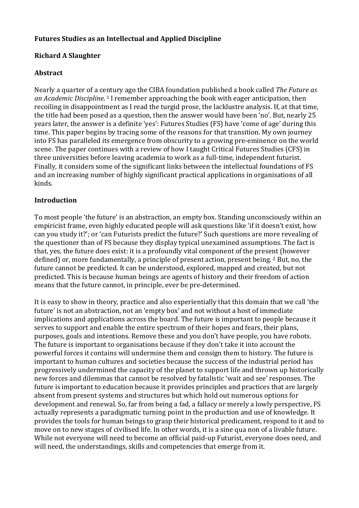### Futures Studies as an Intellectual and Applied Discipline

### **Richard A Slaughter**

### **Abstract**

Nearly a quarter of a century ago the CIBA foundation published a book called *The Future as an Academic Discipline*. <sup>1</sup> I remember approaching the book with eager anticipation, then recoiling in disappointment as I read the turgid prose, the lacklustre analysis. If, at that time, the title had been posed as a question, then the answer would have been 'no'. But, nearly 25 years later, the answer is a definite 'yes': Futures Studies (FS) have 'come of age' during this time. This paper begins by tracing some of the reasons for that transition. My own journey into FS has paralleled its emergence from obscurity to a growing pre-eminence on the world scene. The paper continues with a review of how I taught Critical Futures Studies (CFS) in three universities before leaving academia to work as a full-time, independent futurist. Finally, it considers some of the significant links between the intellectual foundations of FS and an increasing number of highly significant practical applications in organisations of all kinds.

### **Introduction**

To most people 'the future' is an abstraction, an empty box. Standing unconsciously within an empiricist frame, even highly educated people will ask questions like 'if it doesn't exist, how can you study it?'; or 'can Futurists predict the future?' Such questions are more revealing of the questioner than of FS because they display typical unexamined assumptions. The fact is that, yes, the future does exist: it is a profoundly vital component of the present (however defined) or, more fundamentally, a principle of present action, present being. <sup>2</sup> But, no, the future cannot be predicted. It can be understood, explored, mapped and created, but not predicted. This is because human beings are agents of history and their freedom of action means that the future cannot, in principle, ever be pre-determined.

It is easy to show in theory, practice and also experientially that this domain that we call 'the future' is not an abstraction, not an 'empty box' and not without a host of immediate implications and applications across the board. The future is important to people because it serves to support and enable the entire spectrum of their hopes and fears, their plans, purposes, goals and intentions. Remove these and you don't have people, you have robots. The future is important to organisations because if they don't take it into account the powerful forces it contains will undermine them and consign them to history. The future is important to human cultures and societies because the success of the industrial period has progressively undermined the capacity of the planet to support life and thrown up historically new forces and dilemmas that cannot be resolved by fatalistic 'wait and see' responses. The future is important to education because it provides principles and practices that are largely absent from present systems and structures but which hold out numerous options for development and renewal. So, far from being a fad, a fallacy or merely a lowly perspective, FS actually represents a paradigmatic turning point in the production and use of knowledge. It provides the tools for human beings to grasp their historical predicament, respond to it and to move on to new stages of civilised life. In other words, it is a sine qua non of a livable future. While not everyone will need to become an official paid-up Futurist, everyone does need, and will need, the understandings, skills and competencies that emerge from it.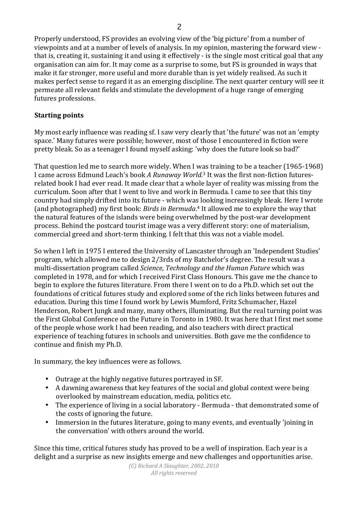Properly understood, FS provides an evolving view of the 'big picture' from a number of viewpoints and at a number of levels of analysis. In my opinion, mastering the forward view that is, creating it, sustaining it and using it effectively - is the single most critical goal that any organisation can aim for. It may come as a surprise to some, but FS is grounded in ways that make it far stronger, more useful and more durable than is vet widely realised. As such it makes perfect sense to regard it as an emerging discipline. The next quarter century will see it permeate all relevant fields and stimulate the development of a huge range of emerging futures professions.

# **Starting points**

My most early influence was reading sf. I saw very clearly that 'the future' was not an 'empty space.' Many futures were possible; however, most of those I encountered in fiction were pretty bleak. So as a teenager I found myself asking: 'why does the future look so bad?'

That question led me to search more widely. When I was training to be a teacher (1965-1968) I came across Edmund Leach's book A Runaway World.<sup>3</sup> It was the first non-fiction futuresrelated book I had ever read. It made clear that a whole laver of reality was missing from the curriculum. Soon after that I went to live and work in Bermuda. I came to see that this tiny country had simply drifted into its future - which was looking increasingly bleak. Here I wrote (and photographed) my first book: *Birds in Bermuda*.<sup>4</sup> It allowed me to explore the way that the natural features of the islands were being overwhelmed by the post-war development process. Behind the postcard tourist image was a very different story: one of materialism, commercial greed and short-term thinking. I felt that this was not a viable model.

So when I left in 1975 I entered the University of Lancaster through an 'Independent Studies' program, which allowed me to design 2/3rds of my Batchelor's degree. The result was a multi-dissertation program called *Science, Technology and the Human Future* which was completed in 1978, and for which I received First Class Honours. This gave me the chance to begin to explore the futures literature. From there I went on to do a Ph.D. which set out the foundations of critical futures study and explored some of the rich links between futures and education. During this time I found work by Lewis Mumford, Fritz Schumacher, Hazel Henderson, Robert Jungk and many, many others, illuminating. But the real turning point was the First Global Conference on the Future in Toronto in 1980. It was here that I first met some of the people whose work I had been reading, and also teachers with direct practical experience of teaching futures in schools and universities. Both gave me the confidence to continue and finish my Ph.D.

In summary, the key influences were as follows.

- Outrage at the highly negative futures portrayed in SF.
- A dawning awareness that key features of the social and global context were being overlooked by mainstream education, media, politics etc.
- The experience of living in a social laboratory Bermuda that demonstrated some of the costs of ignoring the future.
- Immersion in the futures literature, going to many events, and eventually 'joining in the conversation' with others around the world.

Since this time, critical futures study has proved to be a well of inspiration. Each year is a delight and a surprise as new insights emerge and new challenges and opportunities arise.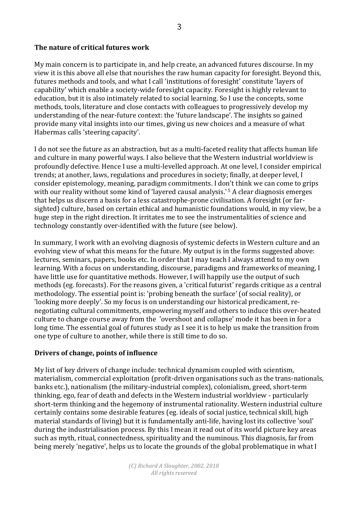### **The nature of critical futures work**

My main concern is to participate in, and help create, an advanced futures discourse. In my view it is this above all else that nourishes the raw human capacity for foresight. Beyond this, futures methods and tools, and what I call 'institutions of foresight' constitute 'layers of capability' which enable a society-wide foresight capacity. Foresight is highly relevant to education, but it is also intimately related to social learning. So I use the concepts, some methods, tools, literature and close contacts with colleagues to progressively develop my understanding of the near-future context: the 'future landscape'. The insights so gained provide many vital insights into our times, giving us new choices and a measure of what Habermas calls 'steering capacity'.

I do not see the future as an abstraction, but as a multi-faceted reality that affects human life and culture in many powerful ways. I also believe that the Western industrial worldview is profoundly defective. Hence I use a multi-levelled approach. At one level, I consider empirical trends; at another, laws, regulations and procedures in society; finally, at deeper level, I consider epistemology, meaning, paradigm commitments. I don't think we can come to grips with our reality without some kind of 'layered causal analysis.'  $5$  A clear diagnosis emerges that helps us discern a basis for a less catastrophe-prone civilisation. A foresight (or farsighted) culture, based on certain ethical and humanistic foundations would, in my view, be a huge step in the right direction. It irritates me to see the instrumentalities of science and technology constantly over-identified with the future (see below).

In summary, I work with an evolving diagnosis of systemic defects in Western culture and an evolving view of what this means for the future. My output is in the forms suggested above: lectures, seminars, papers, books etc. In order that I may teach I always attend to my own learning. With a focus on understanding, discourse, paradigms and frameworks of meaning, I have little use for quantitative methods. However, I will happily use the output of such methods (eg. forecasts). For the reasons given, a 'critical futurist' regards critique as a central methodology. The essential point is: 'probing beneath the surface' (of social reality), or 'looking more deeply'. So my focus is on understanding our historical predicament, renegotiating cultural commitments, empowering myself and others to induce this over-heated culture to change course away from the 'overshoot and collapse' mode it has been in for a long time. The essential goal of futures study as I see it is to help us make the transition from one type of culture to another, while there is still time to do so.

# **Drivers of change, points of influence**

My list of key drivers of change include: technical dynamism coupled with scientism, materialism, commercial exploitation (profit-driven organisations such as the trans-nationals, banks etc.), nationalism (the military-industrial complex), colonialism, greed, short-term thinking, ego, fear of death and defects in the Western industrial worldview - particularly short-term thinking and the hegemony of instrumental rationality. Western industrial culture certainly contains some desirable features (eg. ideals of social justice, technical skill, high material standards of living) but it is fundamentally anti-life, having lost its collective 'soul' during the industrialisation process. By this I mean it read out of its world picture key areas such as myth, ritual, connectedness, spirituality and the numinous. This diagnosis, far from being merely 'negative', helps us to locate the grounds of the global problematique in what I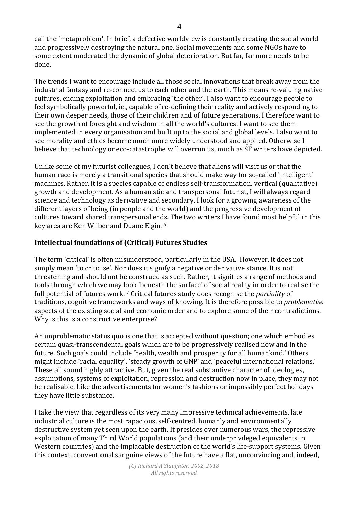call the 'metaproblem'. In brief, a defective worldview is constantly creating the social world and progressively destroying the natural one. Social movements and some NGOs have to some extent moderated the dynamic of global deterioration. But far, far more needs to be done. 

The trends I want to encourage include all those social innovations that break away from the industrial fantasy and re-connect us to each other and the earth. This means re-valuing native cultures, ending exploitation and embracing 'the other'. I also want to encourage people to feel symbolically powerful, ie., capable of re-defining their reality and actively responding to their own deeper needs, those of their children and of future generations. I therefore want to see the growth of foresight and wisdom in all the world's cultures. I want to see them implemented in every organisation and built up to the social and global levels. I also want to see morality and ethics become much more widely understood and applied. Otherwise I believe that technology or eco-catastrophe will overrun us, much as SF writers have depicted.

Unlike some of my futurist colleagues, I don't believe that aliens will visit us or that the human race is merely a transitional species that should make way for so-called 'intelligent' machines. Rather, it is a species capable of endless self-transformation, vertical (qualitative) growth and development. As a humanistic and transpersonal futurist, I will always regard science and technology as derivative and secondary. I look for a growing awareness of the different layers of being (in people and the world) and the progressive development of cultures toward shared transpersonal ends. The two writers I have found most helpful in this key area are Ken Wilber and Duane Elgin. <sup>6</sup>

# **Intellectual foundations of (Critical) Futures Studies**

The term 'critical' is often misunderstood, particularly in the USA. However, it does not simply mean 'to criticise'. Nor does it signify a negative or derivative stance. It is not threatening and should not be construed as such. Rather, it signifies a range of methods and tools through which we may look 'beneath the surface' of social reality in order to realise the full potential of futures work.<sup>7</sup> Critical futures study does recognise the *partiality* of traditions, cognitive frameworks and ways of knowing. It is therefore possible to *problematise* aspects of the existing social and economic order and to explore some of their contradictions. Why is this is a constructive enterprise?

An unproblematic status quo is one that is accepted without question; one which embodies certain quasi-transcendental goals which are to be progressively realised now and in the future. Such goals could include 'health, wealth and prosperity for all humankind.' Others might include 'racial equality', 'steady growth of GNP' and 'peaceful international relations.' These all sound highly attractive. But, given the real substantive character of ideologies, assumptions, systems of exploitation, repression and destruction now in place, they may not be realisable. Like the advertisements for women's fashions or impossibly perfect holidays they have little substance.

I take the view that regardless of its very many impressive technical achievements, late industrial culture is the most rapacious, self-centred, humanly and environmentally destructive system yet seen upon the earth. It presides over numerous wars, the repressive exploitation of many Third World populations (and their underprivileged equivalents in Western countries) and the implacable destruction of the world's life-support systems. Given this context, conventional sanguine views of the future have a flat, unconvincing and, indeed,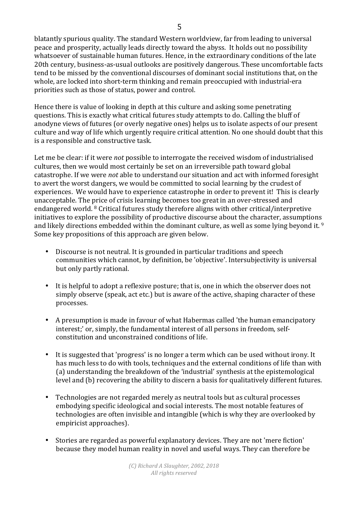blatantly spurious quality. The standard Western worldview, far from leading to universal peace and prosperity, actually leads directly toward the abyss. It holds out no possibility whatsoever of sustainable human futures. Hence, in the extraordinary conditions of the late 20th century, business-as-usual outlooks are positively dangerous. These uncomfortable facts tend to be missed by the conventional discourses of dominant social institutions that, on the whole, are locked into short-term thinking and remain preoccupied with industrial-era priorities such as those of status, power and control.

Hence there is value of looking in depth at this culture and asking some penetrating questions. This is exactly what critical futures study attempts to do. Calling the bluff of anodyne views of futures (or overly negative ones) helps us to isolate aspects of our present culture and way of life which urgently require critical attention. No one should doubt that this is a responsible and constructive task.

Let me be clear: if it were *not* possible to interrogate the received wisdom of industrialised cultures, then we would most certainly be set on an irreversible path toward global catastrophe. If we were *not* able to understand our situation and act with informed foresight to avert the worst dangers, we would be committed to social learning by the crudest of experiences. We would have to experience catastrophe in order to prevent it! This is clearly unacceptable. The price of crisis learning becomes too great in an over-stressed and endangered world.  $8$  Critical futures study therefore aligns with other critical/interpretive initiatives to explore the possibility of productive discourse about the character, assumptions and likely directions embedded within the dominant culture, as well as some lying beyond it.  $9$ Some key propositions of this approach are given below.

- Discourse is not neutral. It is grounded in particular traditions and speech communities which cannot, by definition, be 'objective'. Intersubjectivity is universal but only partly rational.
- It is helpful to adopt a reflexive posture; that is, one in which the observer does not simply observe (speak, act etc.) but is aware of the active, shaping character of these processes.
- A presumption is made in favour of what Habermas called 'the human emancipatory interest;' or, simply, the fundamental interest of all persons in freedom, selfconstitution and unconstrained conditions of life.
- It is suggested that 'progress' is no longer a term which can be used without irony. It has much less to do with tools, techniques and the external conditions of life than with (a) understanding the breakdown of the 'industrial' synthesis at the epistemological level and (b) recovering the ability to discern a basis for qualitatively different futures.
- Technologies are not regarded merely as neutral tools but as cultural processes embodying specific ideological and social interests. The most notable features of technologies are often invisible and intangible (which is why they are overlooked by empiricist approaches).
- Stories are regarded as powerful explanatory devices. They are not 'mere fiction' because they model human reality in novel and useful ways. They can therefore be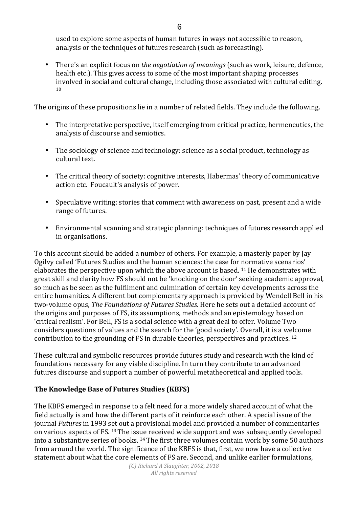used to explore some aspects of human futures in ways not accessible to reason, analysis or the techniques of futures research (such as forecasting).

• There's an explicit focus on *the negotiation of meanings* (such as work, leisure, defence, health etc.). This gives access to some of the most important shaping processes involved in social and cultural change, including those associated with cultural editing. 10

The origins of these propositions lie in a number of related fields. They include the following.

- The interpretative perspective, itself emerging from critical practice, hermeneutics, the analysis of discourse and semiotics.
- The sociology of science and technology: science as a social product, technology as cultural text.
- The critical theory of society: cognitive interests, Habermas' theory of communicative action etc. Foucault's analysis of power.
- Speculative writing: stories that comment with awareness on past, present and a wide range of futures.
- Environmental scanning and strategic planning: techniques of futures research applied in organisations.

To this account should be added a number of others. For example, a masterly paper by Jay Ogilyy called 'Futures Studies and the human sciences: the case for normative scenarios' elaborates the perspective upon which the above account is based.  $11$  He demonstrates with great skill and clarity how FS should not be 'knocking on the door' seeking academic approval, so much as be seen as the fulfilment and culmination of certain key developments across the entire humanities. A different but complementary approach is provided by Wendell Bell in his two-volume opus, *The Foundations of Futures Studies*. Here he sets out a detailed account of the origins and purposes of FS, its assumptions, methods and an epistemology based on 'critical realism'. For Bell, FS is a social science with a great deal to offer. Volume Two considers questions of values and the search for the 'good society'. Overall, it is a welcome contribution to the grounding of FS in durable theories, perspectives and practices.  $12$ 

These cultural and symbolic resources provide futures study and research with the kind of foundations necessary for any viable discipline. In turn they contribute to an advanced futures discourse and support a number of powerful metatheoretical and applied tools.

# **The Knowledge Base of Futures Studies (KBFS)**

The KBFS emerged in response to a felt need for a more widely shared account of what the field actually is and how the different parts of it reinforce each other. A special issue of the journal *Futures* in 1993 set out a provisional model and provided a number of commentaries on various aspects of FS. 13 The issue received wide support and was subsequently developed into a substantive series of books. <sup>14</sup> The first three volumes contain work by some 50 authors from around the world. The significance of the KBFS is that, first, we now have a collective statement about what the core elements of FS are. Second, and unlike earlier formulations,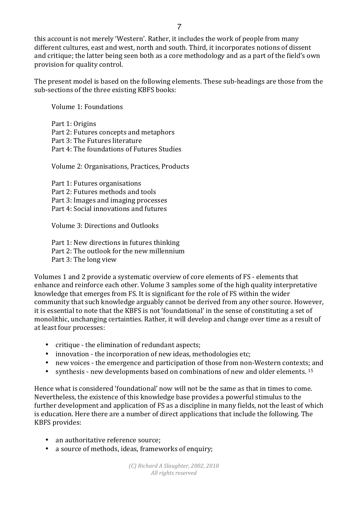this account is not merely 'Western'. Rather, it includes the work of people from many different cultures, east and west, north and south. Third, it incorporates notions of dissent and critique; the latter being seen both as a core methodology and as a part of the field's own provision for quality control.

The present model is based on the following elements. These sub-headings are those from the sub-sections of the three existing KBFS books:

Volume 1: Foundations

Part 1: Origins Part 2: Futures concepts and metaphors Part 3: The Futures literature Part 4: The foundations of Futures Studies

Volume 2: Organisations, Practices, Products

Part 1: Futures organisations Part 2: Futures methods and tools Part 3: Images and imaging processes Part 4: Social innovations and futures

Volume 3: Directions and Outlooks

Part 1: New directions in futures thinking Part 2: The outlook for the new millennium Part 3: The long view

Volumes 1 and 2 provide a systematic overview of core elements of FS - elements that enhance and reinforce each other. Volume 3 samples some of the high quality interpretative knowledge that emerges from FS. It is significant for the role of FS within the wider community that such knowledge arguably cannot be derived from any other source. However, it is essential to note that the KBFS is not 'foundational' in the sense of constituting a set of monolithic, unchanging certainties. Rather, it will develop and change over time as a result of at least four processes:

- critique the elimination of redundant aspects;
- $\bullet$  innovation the incorporation of new ideas, methodologies etc;
- new voices the emergence and participation of those from non-Western contexts; and
- synthesis new developments based on combinations of new and older elements.  $15$

Hence what is considered 'foundational' now will not be the same as that in times to come. Nevertheless, the existence of this knowledge base provides a powerful stimulus to the further development and application of FS as a discipline in many fields, not the least of which is education. Here there are a number of direct applications that include the following. The KBFS provides:

- an authoritative reference source:
- a source of methods, ideas, frameworks of enquiry;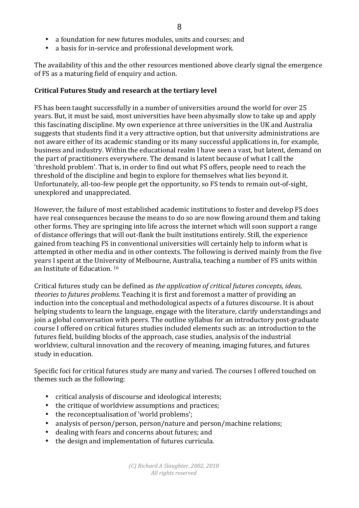- a foundation for new futures modules, units and courses; and
- a basis for in-service and professional development work.

The availability of this and the other resources mentioned above clearly signal the emergence of FS as a maturing field of enquiry and action.

### Critical Futures Study and research at the tertiary level

FS has been taught successfully in a number of universities around the world for over 25 years. But, it must be said, most universities have been abysmally slow to take up and apply this fascinating discipline. My own experience at three universities in the UK and Australia suggests that students find it a very attractive option, but that university administrations are not aware either of its academic standing or its many successful applications in, for example, business and industry. Within the educational realm I have seen a vast, but latent, demand on the part of practitioners everywhere. The demand is latent because of what I call the 'threshold problem'. That is, in order to find out what FS offers, people need to reach the threshold of the discipline and begin to explore for themselves what lies beyond it. Unfortunately, all-too-few people get the opportunity, so FS tends to remain out-of-sight, unexplored and unappreciated.

However, the failure of most established academic institutions to foster and develop FS does have real consequences because the means to do so are now flowing around them and taking other forms. They are springing into life across the internet which will soon support a range of distance offerings that will out-flank the built institutions entirely. Still, the experience gained from teaching FS in conventional universities will certainly help to inform what is attempted in other media and in other contexts. The following is derived mainly from the five years I spent at the University of Melbourne, Australia, teaching a number of FS units within an Institute of Education.<sup>16</sup>

Critical futures study can be defined as *the application of critical futures concepts, ideas, theories to futures problems.* Teaching it is first and foremost a matter of providing an induction into the conceptual and methodological aspects of a futures discourse. It is about helping students to learn the language, engage with the literature, clarify understandings and join a global conversation with peers. The outline syllabus for an introductory post-graduate course I offered on critical futures studies included elements such as: an introduction to the futures field, building blocks of the approach, case studies, analysis of the industrial worldview, cultural innovation and the recovery of meaning, imaging futures, and futures study in education.

Specific foci for critical futures study are many and varied. The courses I offered touched on themes such as the following:

- critical analysis of discourse and ideological interests;
- the critique of worldview assumptions and practices;
- the reconceptualisation of 'world problems';
- analysis of person/person, person/nature and person/machine relations;
- dealing with fears and concerns about futures; and
- the design and implementation of futures curricula.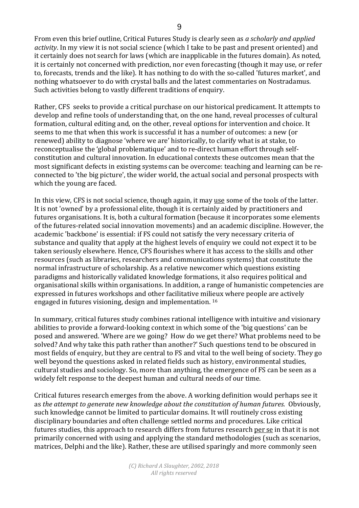From even this brief outline, Critical Futures Study is clearly seen as *a scholarly and applied activity*. In my view it is not social science (which I take to be past and present oriented) and it certainly does not search for laws (which are inapplicable in the futures domain). As noted, it is certainly not concerned with prediction, nor even forecasting (though it may use, or refer to, forecasts, trends and the like). It has nothing to do with the so-called 'futures market', and nothing whatsoever to do with crystal balls and the latest commentaries on Nostradamus. Such activities belong to vastly different traditions of enquiry.

Rather, CFS seeks to provide a critical purchase on our historical predicament. It attempts to develop and refine tools of understanding that, on the one hand, reveal processes of cultural formation, cultural editing and, on the other, reveal options for intervention and choice. It seems to me that when this work is successful it has a number of outcomes: a new (or renewed) ability to diagnose 'where we are' historically, to clarify what is at stake, to reconceptualise the 'global problematique' and to re-direct human effort through selfconstitution and cultural innovation. In educational contexts these outcomes mean that the most significant defects in existing systems can be overcome: teaching and learning can be reconnected to 'the big picture', the wider world, the actual social and personal prospects with which the young are faced.

In this view, CFS is not social science, though again, it may use some of the tools of the latter. It is not 'owned' by a professional elite, though it is certainly aided by practitioners and futures organisations. It is, both a cultural formation (because it incorporates some elements of the futures-related social innovation movements) and an academic discipline. However, the academic 'backbone' is essential: if FS could not satisfy the very necessary criteria of substance and quality that apply at the highest levels of enquiry we could not expect it to be taken seriously elsewhere. Hence, CFS flourishes where it has access to the skills and other resources (such as libraries, researchers and communications systems) that constitute the normal infrastructure of scholarship. As a relative newcomer which questions existing paradigms and historically validated knowledge formations, it also requires political and organisational skills within organisations. In addition, a range of humanistic competencies are expressed in futures workshops and other facilitative milieux where people are actively engaged in futures visioning, design and implementation.  $16$ 

In summary, critical futures study combines rational intelligence with intuitive and visionary abilities to provide a forward-looking context in which some of the 'big questions' can be posed and answered. 'Where are we going? How do we get there? What problems need to be solved? And why take this path rather than another?' Such questions tend to be obscured in most fields of enquiry, but they are central to FS and vital to the well being of society. They go well beyond the questions asked in related fields such as history, environmental studies, cultural studies and sociology. So, more than anything, the emergence of FS can be seen as a widely felt response to the deepest human and cultural needs of our time.

Critical futures research emerges from the above. A working definition would perhaps see it as the attempt to generate new knowledge about the constitution of human futures. Obviously, such knowledge cannot be limited to particular domains. It will routinely cross existing disciplinary boundaries and often challenge settled norms and procedures. Like critical futures studies, this approach to research differs from futures research per se in that it is not primarily concerned with using and applying the standard methodologies (such as scenarios, matrices, Delphi and the like). Rather, these are utilised sparingly and more commonly seen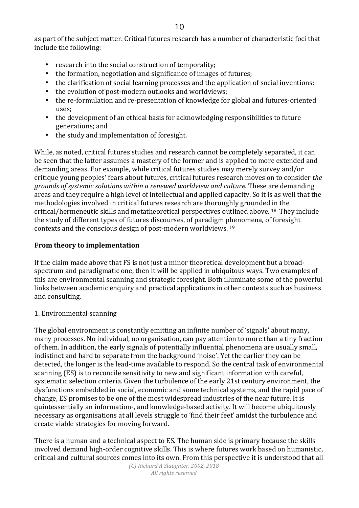as part of the subject matter. Critical futures research has a number of characteristic foci that include the following:

- research into the social construction of temporality;
- the formation, negotiation and significance of images of futures;
- the clarification of social learning processes and the application of social inventions;
- the evolution of post-modern outlooks and worldviews:
- the re-formulation and re-presentation of knowledge for global and futures-oriented uses;
- the development of an ethical basis for acknowledging responsibilities to future generations; and
- the study and implementation of foresight.

While, as noted, critical futures studies and research cannot be completely separated, it can be seen that the latter assumes a mastery of the former and is applied to more extended and demanding areas. For example, while critical futures studies may merely survey and/or critique young peoples' fears about futures, critical futures research moves on to consider *the grounds of systemic solutions within a renewed worldview and culture.* These are demanding areas and they require a high level of intellectual and applied capacity. So it is as well that the methodologies involved in critical futures research are thoroughly grounded in the critical/hermeneutic skills and metatheoretical perspectives outlined above.  $^{18}$  They include the study of different types of futures discourses, of paradigm phenomena, of foresight contexts and the conscious design of post-modern worldviews.  $19$ 

# **From theory to implementation**

If the claim made above that FS is not just a minor theoretical development but a broadspectrum and paradigmatic one, then it will be applied in ubiquitous ways. Two examples of this are environmental scanning and strategic foresight. Both illuminate some of the powerful links between academic enquiry and practical applications in other contexts such as business and consulting.

1. Environmental scanning

The global environment is constantly emitting an infinite number of 'signals' about many, many processes. No individual, no organisation, can pay attention to more than a tiny fraction of them. In addition, the early signals of potentially influential phenomena are usually small, indistinct and hard to separate from the background 'noise'. Yet the earlier they can be detected, the longer is the lead-time available to respond. So the central task of environmental scanning (ES) is to reconcile sensitivity to new and significant information with careful, systematic selection criteria. Given the turbulence of the early 21st century environment, the dysfunctions embedded in social, economic and some technical systems, and the rapid pace of change, ES promises to be one of the most widespread industries of the near future. It is quintessentially an information-, and knowledge-based activity. It will become ubiquitously necessary as organisations at all levels struggle to 'find their feet' amidst the turbulence and create viable strategies for moving forward.

There is a human and a technical aspect to ES. The human side is primary because the skills involved demand high-order cognitive skills. This is where futures work based on humanistic, critical and cultural sources comes into its own. From this perspective it is understood that all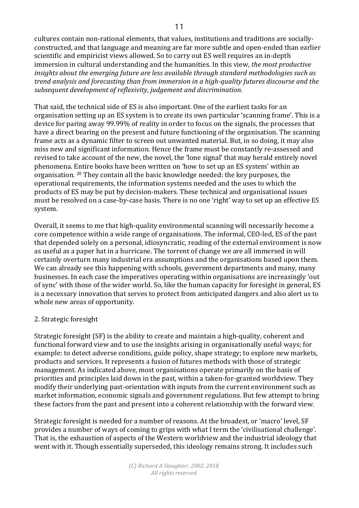cultures contain non-rational elements, that values, institutions and traditions are sociallyconstructed, and that language and meaning are far more subtle and open-ended than earlier scientific and empiricist views allowed. So to carry out ES well requires an in-depth immersion in cultural understanding and the humanities. In this view, *the most productive insights about the emerging future are less available through standard methodologies such as trend analysis and forecasting than from immersion in a high-quality futures discourse and the subsequent development of reflexivity, judgement and discrimination*.

That said, the technical side of ES is also important. One of the earliest tasks for an organisation setting up an ES system is to create its own particular 'scanning frame'. This is a device for paring away 99.99% of reality in order to focus on the signals, the processes that have a direct bearing on the present and future functioning of the organisation. The scanning frame acts as a dynamic filter to screen out unwanted material. But, in so doing, it may also miss new and significant information. Hence the frame must be constantly re-assessed and revised to take account of the new, the novel, the 'lone signal' that may herald entirely novel phenomena. Entire books have been written on 'how to set up an ES system' within an organisation. <sup>20</sup> They contain all the basic knowledge needed: the key purposes, the operational requirements, the information systems needed and the uses to which the products of ES may be put by decision-makers. These technical and organisational issues must be resolved on a case-by-case basis. There is no one 'right' way to set up an effective ES system.

Overall, it seems to me that high-quality environmental scanning will necessarily become a core competence within a wide range of organisations. The informal, CEO-led, ES of the past that depended solely on a personal, idiosyncratic, reading of the external environment is now as useful as a paper hat in a hurricane. The torrent of change we are all immersed in will certainly overturn many industrial era assumptions and the organisations based upon them. We can already see this happening with schools, government departments and many, many businesses. In each case the imperatives operating within organisations are increasingly 'out of sync' with those of the wider world. So, like the human capacity for foresight in general, ES is a necessary innovation that serves to protect from anticipated dangers and also alert us to whole new areas of opportunity.

# 2. Strategic foresight

Strategic foresight (SF) is the ability to create and maintain a high-quality, coherent and functional forward view and to use the insights arising in organisationally useful ways; for example: to detect adverse conditions, guide policy, shape strategy; to explore new markets, products and services. It represents a fusion of futures methods with those of strategic management. As indicated above, most organisations operate primarily on the basis of priorities and principles laid down in the past, within a taken-for-granted worldview. They modify their underlying past-orientation with inputs from the current environment such as market information, economic signals and government regulations. But few attempt to bring these factors from the past and present into a coherent relationship with the forward view.

Strategic foresight is needed for a number of reasons. At the broadest, or 'macro' level, SF provides a number of ways of coming to grips with what I term the 'civilisational challenge'. That is, the exhaustion of aspects of the Western worldview and the industrial ideology that went with it. Though essentially superseded, this ideology remains strong. It includes such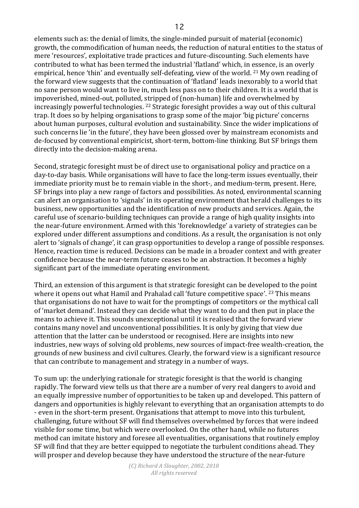elements such as: the denial of limits, the single-minded pursuit of material (economic) growth, the commodification of human needs, the reduction of natural entities to the status of mere 'resources', exploitative trade practices and future-discounting. Such elements have contributed to what has been termed the industrial 'flatland' which, in essence, is an overly empirical, hence 'thin' and eventually self-defeating, view of the world. <sup>21</sup> My own reading of the forward view suggests that the continuation of 'flatland' leads inexorably to a world that no sane person would want to live in, much less pass on to their children. It is a world that is impoverished, mined-out, polluted, stripped of (non-human) life and overwhelmed by increasingly powerful technologies.  $22$  Strategic foresight provides a way out of this cultural trap. It does so by helping organisations to grasp some of the major 'big picture' concerns about human purposes, cultural evolution and sustainability. Since the wider implications of such concerns lie 'in the future', they have been glossed over by mainstream economists and de-focused by conventional empiricist, short-term, bottom-line thinking. But SF brings them directly into the decision-making arena.

Second, strategic foresight must be of direct use to organisational policy and practice on a day-to-day basis. While organisations will have to face the long-term issues eventually, their immediate priority must be to remain viable in the short-, and medium-term, present. Here, SF brings into play a new range of factors and possibilities. As noted, environmental scanning can alert an organisation to 'signals' in its operating environment that herald challenges to its business, new opportunities and the identification of new products and services. Again, the careful use of scenario-building techniques can provide a range of high quality insights into the near-future environment. Armed with this 'foreknowledge' a variety of strategies can be explored under different assumptions and conditions. As a result, the organisation is not only alert to 'signals of change', it can grasp opportunities to develop a range of possible responses. Hence, reaction time is reduced. Decisions can be made in a broader context and with greater confidence because the near-term future ceases to be an abstraction. It becomes a highly significant part of the immediate operating environment.

Third, an extension of this argument is that strategic foresight can be developed to the point where it opens out what Hamil and Prahalad call 'future competitive space'. <sup>23</sup> This means that organisations do not have to wait for the promptings of competitors or the mythical call of 'market demand'. Instead they can decide what they want to do and then put in place the means to achieve it. This sounds unexceptional until it is realised that the forward view contains many novel and unconventional possibilities. It is only by giving that view due attention that the latter can be understood or recognised. Here are insights into new industries, new ways of solving old problems, new sources of impact-free wealth-creation, the grounds of new business and civil cultures. Clearly, the forward view is a significant resource that can contribute to management and strategy in a number of ways.

To sum up: the underlying rationale for strategic foresight is that the world is changing rapidly. The forward view tells us that there are a number of very real dangers to avoid and an equally impressive number of opportunities to be taken up and developed. This pattern of dangers and opportunities is highly relevant to everything that an organisation attempts to do - even in the short-term present. Organisations that attempt to move into this turbulent, challenging, future without SF will find themselves overwhelmed by forces that were indeed visible for some time, but which were overlooked. On the other hand, while no futures method can imitate history and foresee all eventualities, organisations that routinely employ SF will find that they are better equipped to negotiate the turbulent conditions ahead. They will prosper and develop because they have understood the structure of the near-future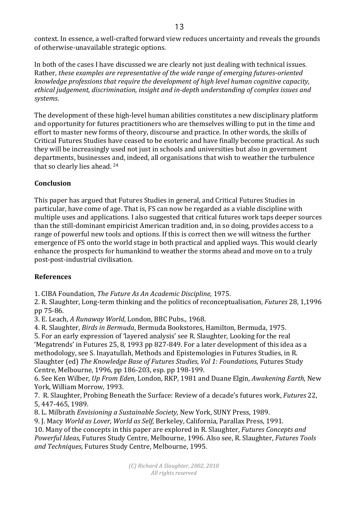context. In essence, a well-crafted forward view reduces uncertainty and reveals the grounds of otherwise-unavailable strategic options.

In both of the cases I have discussed we are clearly not just dealing with technical issues. Rather, *these examples are representative of the wide range of emerging futures-oriented knowledge professions that require the development of high level human cognitive capacity,* ethical judgement, discrimination, insight and in-depth understanding of complex issues and *systems*. 

The development of these high-level human abilities constitutes a new disciplinary platform and opportunity for futures practitioners who are themselves willing to put in the time and effort to master new forms of theory, discourse and practice. In other words, the skills of Critical Futures Studies have ceased to be esoteric and have finally become practical. As such they will be increasingly used not just in schools and universities but also in government departments, businesses and, indeed, all organisations that wish to weather the turbulence that so clearly lies ahead.  $24$ 

### **Conclusion**

This paper has argued that Futures Studies in general, and Critical Futures Studies in particular, have come of age. That is, FS can now be regarded as a viable discipline with multiple uses and applications. I also suggested that critical futures work taps deeper sources than the still-dominant empiricist American tradition and, in so doing, provides access to a range of powerful new tools and options. If this is correct then we will witness the further emergence of FS onto the world stage in both practical and applied ways. This would clearly enhance the prospects for humankind to weather the storms ahead and move on to a truly post-post-industrial civilisation.

#### **References**

1. CIBA Foundation, *The Future As An Academic Discipline*, 1975.

2. R. Slaughter, Long-term thinking and the politics of reconceptualisation, *Futures* 28, 1,1996 pp 75-86.

3. E. Leach, A Runaway World, London, BBC Pubs., 1968.

4. R. Slaughter, *Birds in Bermuda*, Bermuda Bookstores, Hamilton, Bermuda, 1975.

5. For an early expression of 'layered analysis' see R. Slaughter, Looking for the real 'Megatrends' in Futures 25, 8, 1993 pp 827-849. For a later development of this idea as a methodology, see S. Inayatullah, Methods and Epistemologies in Futures Studies, in R. Slaughter (ed) The Knowledge Base of Futures Studies, Vol 1: Foundations, Futures Study Centre, Melbourne, 1996, pp 186-203, esp. pp 198-199.

6. See Ken Wilber, Up From Eden, London, RKP, 1981 and Duane Elgin, *Awakening Earth*, New York, William Morrow, 1993.

7. R. Slaughter, Probing Beneath the Surface: Review of a decade's futures work, *Futures* 22, 5, 447-465, 1989.

8. L. Milbrath *Envisioning a Sustainable Society*, New York, SUNY Press, 1989.

9. J. Macy *World as Lover, World as Self, Berkeley, California, Parallax Press, 1991.* 

10. Many of the concepts in this paper are explored in R. Slaughter, *Futures Concepts and* Powerful Ideas, Futures Study Centre, Melbourne, 1996. Also see, R. Slaughter, *Futures Tools* and Techniques, Futures Study Centre, Melbourne, 1995.